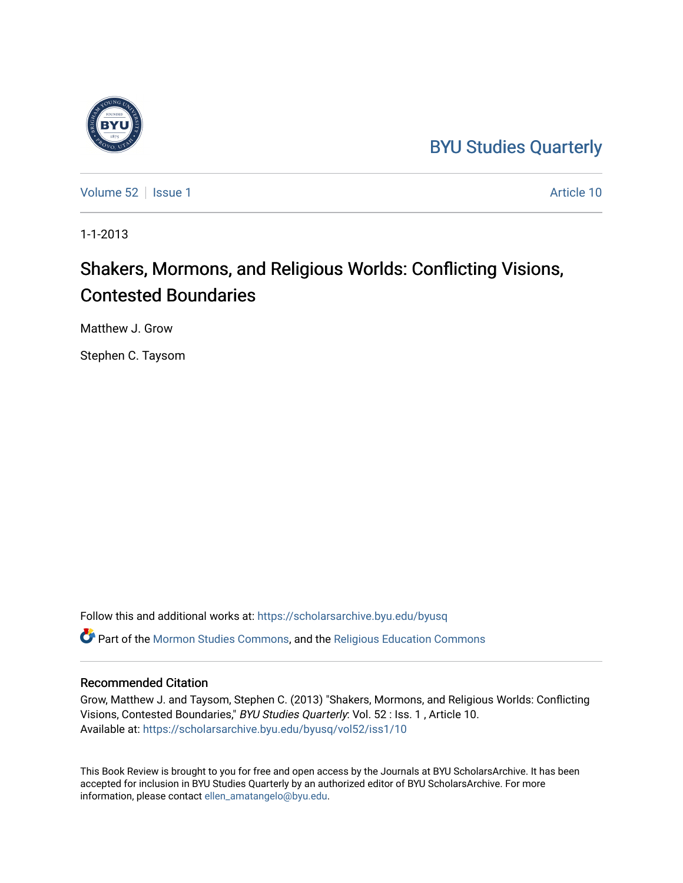## [BYU Studies Quarterly](https://scholarsarchive.byu.edu/byusq)

[Volume 52](https://scholarsarchive.byu.edu/byusq/vol52) | [Issue 1](https://scholarsarchive.byu.edu/byusq/vol52/iss1) Article 10

1-1-2013

## Shakers, Mormons, and Religious Worlds: Conflicting Visions, Contested Boundaries

Matthew J. Grow

Stephen C. Taysom

Follow this and additional works at: [https://scholarsarchive.byu.edu/byusq](https://scholarsarchive.byu.edu/byusq?utm_source=scholarsarchive.byu.edu%2Fbyusq%2Fvol52%2Fiss1%2F10&utm_medium=PDF&utm_campaign=PDFCoverPages)  Part of the [Mormon Studies Commons](http://network.bepress.com/hgg/discipline/1360?utm_source=scholarsarchive.byu.edu%2Fbyusq%2Fvol52%2Fiss1%2F10&utm_medium=PDF&utm_campaign=PDFCoverPages), and the [Religious Education Commons](http://network.bepress.com/hgg/discipline/1414?utm_source=scholarsarchive.byu.edu%2Fbyusq%2Fvol52%2Fiss1%2F10&utm_medium=PDF&utm_campaign=PDFCoverPages) 

## Recommended Citation

Grow, Matthew J. and Taysom, Stephen C. (2013) "Shakers, Mormons, and Religious Worlds: Conflicting Visions, Contested Boundaries," BYU Studies Quarterly: Vol. 52 : Iss. 1 , Article 10. Available at: [https://scholarsarchive.byu.edu/byusq/vol52/iss1/10](https://scholarsarchive.byu.edu/byusq/vol52/iss1/10?utm_source=scholarsarchive.byu.edu%2Fbyusq%2Fvol52%2Fiss1%2F10&utm_medium=PDF&utm_campaign=PDFCoverPages) 

This Book Review is brought to you for free and open access by the Journals at BYU ScholarsArchive. It has been accepted for inclusion in BYU Studies Quarterly by an authorized editor of BYU ScholarsArchive. For more information, please contact [ellen\\_amatangelo@byu.edu.](mailto:ellen_amatangelo@byu.edu)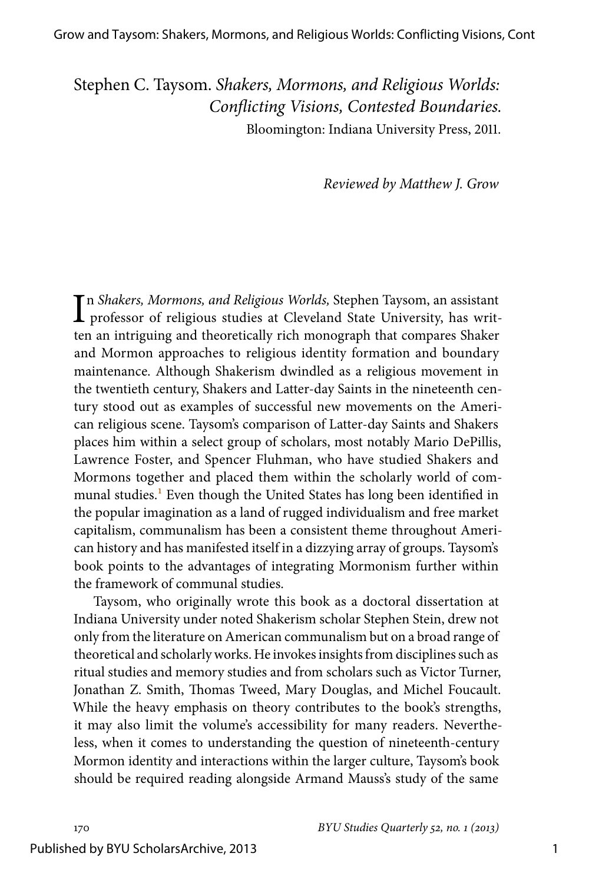Stephen C. Taysom. *Shakers, Mormons, and Religious Worlds: Conflicting Visions, Contested Boundaries.* Bloomington: Indiana University Press, 2011.

*Reviewed by Matthew J. Grow*

In Shakers, Mormons, and Religious Worlds, Stephen Taysom, an assistant professor of religious studies at Cleveland State University, has writn *Shakers, Mormons, and Religious Worlds,* Stephen Taysom, an assistant ten an intriguing and theoretically rich monograph that compares Shaker and Mormon approaches to religious identity formation and boundary maintenance. Although Shakerism dwindled as a religious movement in the twentieth century, Shakers and Latter-day Saints in the nineteenth century stood out as examples of successful new movements on the American religious scene. Taysom's comparison of Latter-day Saints and Shakers places him within a select group of scholars, most notably Mario DePillis, Lawrence Foster, and Spencer Fluhman, who have studied Shakers and Mormons together and placed them within the scholarly world of com-munal studies.<sup>[1](#page-4-0)</sup> Even though the United States has long been identified in the popular imagination as a land of rugged individualism and free market capitalism, communalism has been a consistent theme throughout American history and has manifested itself in a dizzying array of groups. Taysom's book points to the advantages of integrating Mormonism further within the framework of communal studies.

<span id="page-1-0"></span>Taysom, who originally wrote this book as a doctoral dissertation at Indiana University under noted Shakerism scholar Stephen Stein, drew not only from the literature on American communalism but on a broad range of theoretical and scholarly works. He invokes insights from disciplines such as ritual studies and memory studies and from scholars such as Victor Turner, Jonathan Z. Smith, Thomas Tweed, Mary Douglas, and Michel Foucault. While the heavy emphasis on theory contributes to the book's strengths, it may also limit the volume's accessibility for many readers. Nevertheless, when it comes to understanding the question of nineteenth-century Mormon identity and interactions within the larger culture, Taysom's book should be required reading alongside Armand Mauss's study of the same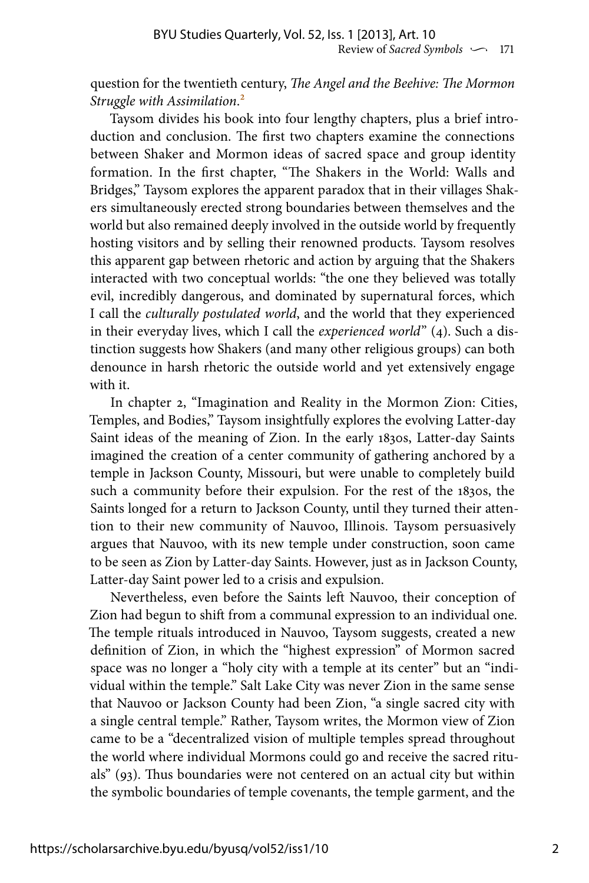<span id="page-2-0"></span>question for the twentieth century, *The Angel and the Beehive: The Mormon Struggle with Assimilation*.[2](#page-4-1)

Taysom divides his book into four lengthy chapters, plus a brief introduction and conclusion. The first two chapters examine the connections between Shaker and Mormon ideas of sacred space and group identity formation. In the first chapter, "The Shakers in the World: Walls and Bridges," Taysom explores the apparent paradox that in their villages Shakers simultaneously erected strong boundaries between themselves and the world but also remained deeply involved in the outside world by frequently hosting visitors and by selling their renowned products. Taysom resolves this apparent gap between rhetoric and action by arguing that the Shakers interacted with two conceptual worlds: "the one they believed was totally evil, incredibly dangerous, and dominated by supernatural forces, which I call the *culturally postulated world*, and the world that they experienced in their everyday lives, which I call the *experienced world*" (4). Such a distinction suggests how Shakers (and many other religious groups) can both denounce in harsh rhetoric the outside world and yet extensively engage with it.

In chapter 2, "Imagination and Reality in the Mormon Zion: Cities, Temples, and Bodies," Taysom insightfully explores the evolving Latter-day Saint ideas of the meaning of Zion. In the early 1830s, Latter-day Saints imagined the creation of a center community of gathering anchored by a temple in Jackson County, Missouri, but were unable to completely build such a community before their expulsion. For the rest of the 1830s, the Saints longed for a return to Jackson County, until they turned their attention to their new community of Nauvoo, Illinois. Taysom persuasively argues that Nauvoo, with its new temple under construction, soon came to be seen as Zion by Latter-day Saints. However, just as in Jackson County, Latter-day Saint power led to a crisis and expulsion.

Nevertheless, even before the Saints left Nauvoo, their conception of Zion had begun to shift from a communal expression to an individual one. The temple rituals introduced in Nauvoo, Taysom suggests, created a new definition of Zion, in which the "highest expression" of Mormon sacred space was no longer a "holy city with a temple at its center" but an "individual within the temple." Salt Lake City was never Zion in the same sense that Nauvoo or Jackson County had been Zion, "a single sacred city with a single central temple." Rather, Taysom writes, the Mormon view of Zion came to be a "decentralized vision of multiple temples spread throughout the world where individual Mormons could go and receive the sacred rituals" (93). Thus boundaries were not centered on an actual city but within the symbolic boundaries of temple covenants, the temple garment, and the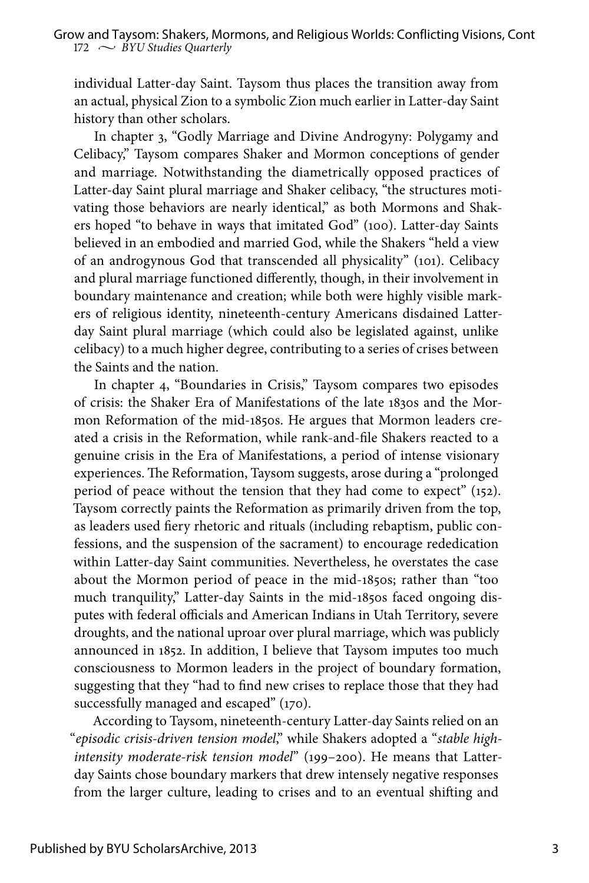individual Latter-day Saint. Taysom thus places the transition away from an actual, physical Zion to a symbolic Zion much earlier in Latter-day Saint history than other scholars.

In chapter 3, "Godly Marriage and Divine Androgyny: Polygamy and Celibacy," Taysom compares Shaker and Mormon conceptions of gender and marriage. Notwithstanding the diametrically opposed practices of Latter-day Saint plural marriage and Shaker celibacy, "the structures motivating those behaviors are nearly identical," as both Mormons and Shakers hoped "to behave in ways that imitated God" (100). Latter-day Saints believed in an embodied and married God, while the Shakers "held a view of an androgynous God that transcended all physicality" (101). Celibacy and plural marriage functioned differently, though, in their involvement in boundary maintenance and creation; while both were highly visible markers of religious identity, nineteenth-century Americans disdained Latterday Saint plural marriage (which could also be legislated against, unlike celibacy) to a much higher degree, contributing to a series of crises between the Saints and the nation.

In chapter 4, "Boundaries in Crisis," Taysom compares two episodes of crisis: the Shaker Era of Manifestations of the late 1830s and the Mormon Reformation of the mid-1850s. He argues that Mormon leaders created a crisis in the Reformation, while rank-and-file Shakers reacted to a genuine crisis in the Era of Manifestations, a period of intense visionary experiences. The Reformation, Taysom suggests, arose during a "prolonged period of peace without the tension that they had come to expect" (152). Taysom correctly paints the Reformation as primarily driven from the top, as leaders used fiery rhetoric and rituals (including rebaptism, public confessions, and the suspension of the sacrament) to encourage rededication within Latter-day Saint communities. Nevertheless, he overstates the case about the Mormon period of peace in the mid-1850s; rather than "too much tranquility," Latter-day Saints in the mid-1850s faced ongoing disputes with federal officials and American Indians in Utah Territory, severe droughts, and the national uproar over plural marriage, which was publicly announced in 1852. In addition, I believe that Taysom imputes too much consciousness to Mormon leaders in the project of boundary formation, suggesting that they "had to find new crises to replace those that they had successfully managed and escaped" (170).

According to Taysom, nineteenth-century Latter-day Saints relied on an "*episodic crisis-driven tension model*," while Shakers adopted a "*stable highintensity moderate-risk tension model*" (199–200). He means that Latterday Saints chose boundary markers that drew intensely negative responses from the larger culture, leading to crises and to an eventual shifting and